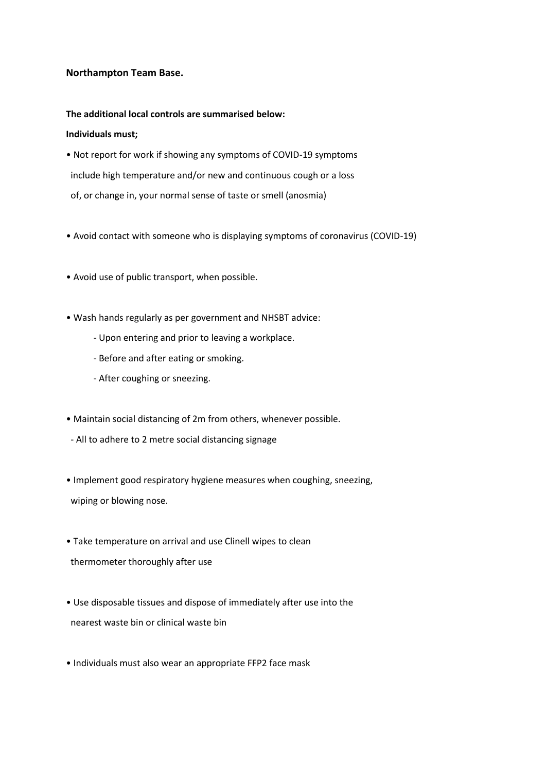# **Northampton Team Base.**

### **The additional local controls are summarised below:**

## **Individuals must;**

- Not report for work if showing any symptoms of COVID-19 symptoms include high temperature and/or new and continuous cough or a loss of, or change in, your normal sense of taste or smell (anosmia)
- Avoid contact with someone who is displaying symptoms of coronavirus (COVID-19)
- Avoid use of public transport, when possible.
- Wash hands regularly as per government and NHSBT advice:
	- Upon entering and prior to leaving a workplace.
	- Before and after eating or smoking.
	- After coughing or sneezing.
- Maintain social distancing of 2m from others, whenever possible.
- All to adhere to 2 metre social distancing signage
- Implement good respiratory hygiene measures when coughing, sneezing, wiping or blowing nose.
- Take temperature on arrival and use Clinell wipes to clean thermometer thoroughly after use
- Use disposable tissues and dispose of immediately after use into the nearest waste bin or clinical waste bin
- Individuals must also wear an appropriate FFP2 face mask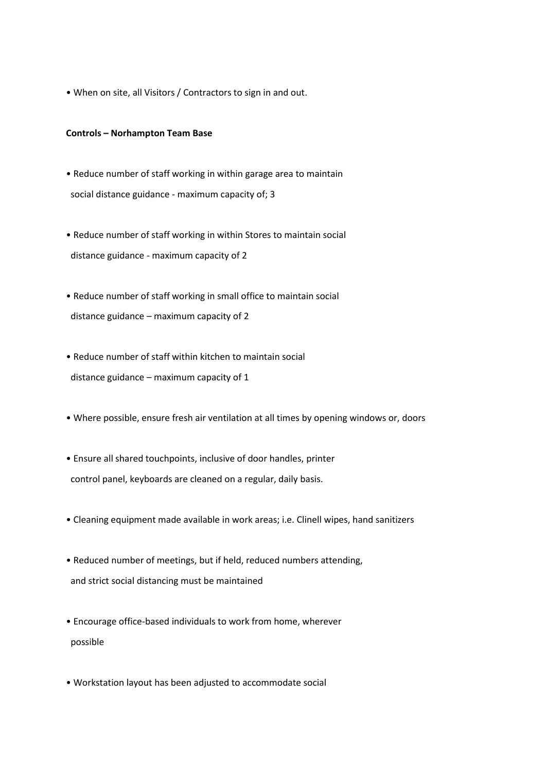• When on site, all Visitors / Contractors to sign in and out.

#### **Controls – Norhampton Team Base**

- Reduce number of staff working in within garage area to maintain social distance guidance - maximum capacity of; 3
- Reduce number of staff working in within Stores to maintain social distance guidance - maximum capacity of 2
- Reduce number of staff working in small office to maintain social distance guidance – maximum capacity of 2
- Reduce number of staff within kitchen to maintain social distance guidance – maximum capacity of 1
- Where possible, ensure fresh air ventilation at all times by opening windows or, doors
- Ensure all shared touchpoints, inclusive of door handles, printer control panel, keyboards are cleaned on a regular, daily basis.
- Cleaning equipment made available in work areas; i.e. Clinell wipes, hand sanitizers
- Reduced number of meetings, but if held, reduced numbers attending, and strict social distancing must be maintained
- Encourage office-based individuals to work from home, wherever possible
- Workstation layout has been adjusted to accommodate social